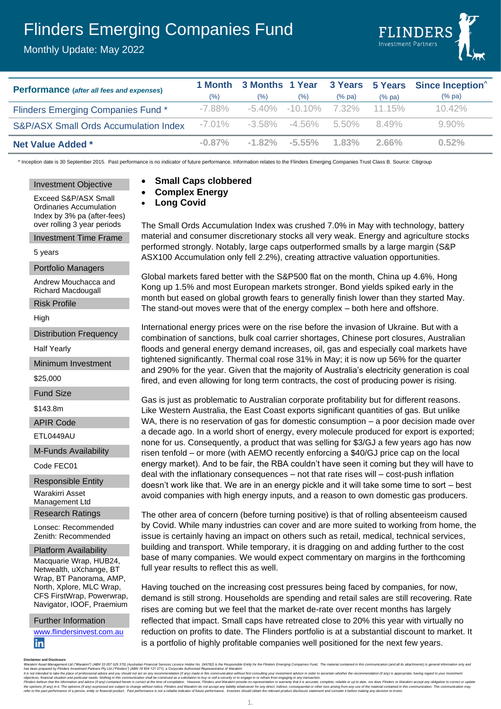# Flinders Emerging Companies Fund

Monthly Update: May 2022



| <b>Performance</b> (after all fees and expenses) |           |        |                           |                                   |           | 1 Month 3 Months 1 Year 3 Years 5 Years Since Inception <sup>^</sup> |
|--------------------------------------------------|-----------|--------|---------------------------|-----------------------------------|-----------|----------------------------------------------------------------------|
|                                                  | (% )      | $(\%)$ | (% )                      | $(\%$ pa)                         | $(\%$ pa) | $(\%$ pa)                                                            |
| Flinders Emerging Companies Fund*                | $-7.88\%$ |        |                           | $-5.40\%$ $-10.10\%$ 7.32% 11.15% |           | $10.42\%$                                                            |
| <b>S&amp;P/ASX Small Ords Accumulation Index</b> | $-7.01\%$ |        | $-3.58\%$ $-4.56\%$ 5.50% |                                   | 8.49%     | $9.90\%$                                                             |
| <b>Net Value Added *</b>                         | $-0.87\%$ |        | -1.82% -5.55%             | $1.83\%$                          | $2.66\%$  | 0.52%                                                                |

The Small Ords Accumulation Index was crushed 7.0% in May with technology, battery material and consumer discretionary stocks all very weak. Energy and agriculture stocks performed strongly. Notably, large caps outperformed smalls by a large margin (S&P ASX100 Accumulation only fell 2.2%), creating attractive valuation opportunities.

Global markets fared better with the S&P500 flat on the month, China up 4.6%, Hong Kong up 1.5% and most European markets stronger. Bond yields spiked early in the month but eased on global growth fears to generally finish lower than they started May.

International energy prices were on the rise before the invasion of Ukraine. But with a combination of sanctions, bulk coal carrier shortages, Chinese port closures, Australian floods and general energy demand increases, oil, gas and especially coal markets have tightened significantly. Thermal coal rose 31% in May; it is now up 56% for the quarter and 290% for the year. Given that the majority of Australia's electricity generation is coal fired, and even allowing for long term contracts, the cost of producing power is rising.

Gas is just as problematic to Australian corporate profitability but for different reasons. Like Western Australia, the East Coast exports significant quantities of gas. But unlike WA, there is no reservation of gas for domestic consumption – a poor decision made over a decade ago. In a world short of energy, every molecule produced for export is exported; none for us. Consequently, a product that was selling for \$3/GJ a few years ago has now risen tenfold – or more (with AEMO recently enforcing a \$40/GJ price cap on the local energy market). And to be fair, the RBA couldn't have seen it coming but they will have to deal with the inflationary consequences – not that rate rises will – cost-push inflation doesn't work like that. We are in an energy pickle and it will take some time to sort – best avoid companies with high energy inputs, and a reason to own domestic gas producers.

The other area of concern (before turning positive) is that of rolling absenteeism caused by Covid. While many industries can cover and are more suited to working from home, the issue is certainly having an impact on others such as retail, medical, technical services, building and transport. While temporary, it is dragging on and adding further to the cost base of many companies. We would expect commentary on margins in the forthcoming

Having touched on the increasing cost pressures being faced by companies, for now, demand is still strong. Households are spending and retail sales are still recovering. Rate rises are coming but we feel that the market de-rate over recent months has largely reflected that impact. Small caps have retreated close to 20% this year with virtually no reduction on profits to date. The Flinders portfolio is at a substantial discount to market. It

is a portfolio of highly profitable companies well positioned for the next few years.

The stand-out moves were that of the energy complex – both here and offshore.

^ Inception date is 30 September 2015. Past performance is no indicator of future performance. Information relates to the Flinders Emerging Companies Trust Class B. Source: Citigroup

#### Investment Objective

- **Small Caps clobbered** • **Complex Energy**
- **Long Covid**

Exceed S&P/ASX Small Ordinaries Accumulation Index by 3% pa (after-fees) over rolling 3 year periods

Investment Time Frame

5 years

Portfolio Managers

Andrew Mouchacca and Richard Macdougall

Risk Profile

High

Distribution Frequency

Half Yearly

Minimum Investment

\$25,000

Fund Size

\$143.8m

APIR Code

ETL0449AU

M-Funds Availability

Code FEC01

Responsible Entity Warakirri Asset Management Ltd

Research Ratings

Lonsec: Recommended Zenith: Recommended

Platform Availability Macquarie Wrap, HUB24, Netwealth, uXchange, BT Wrap, BT Panorama, AMP, North, Xplore, MLC Wrap, CFS FirstWrap, Powerwrap, Navigator, IOOF, Praemium

Further Information [www.flindersinvest.com.au](http://www.flindersinvest.com.au/) in

full year results to reflect this as well.

Discultime and Disclosure<br>Warakim Asset Management Ltd ("Warakim") (ABN 33 057 529 370) (Australian Financial Services Licence Holder No. 246782) is the Responsible Entity for the Flinders Emerging Companies Fund. The mate

1.